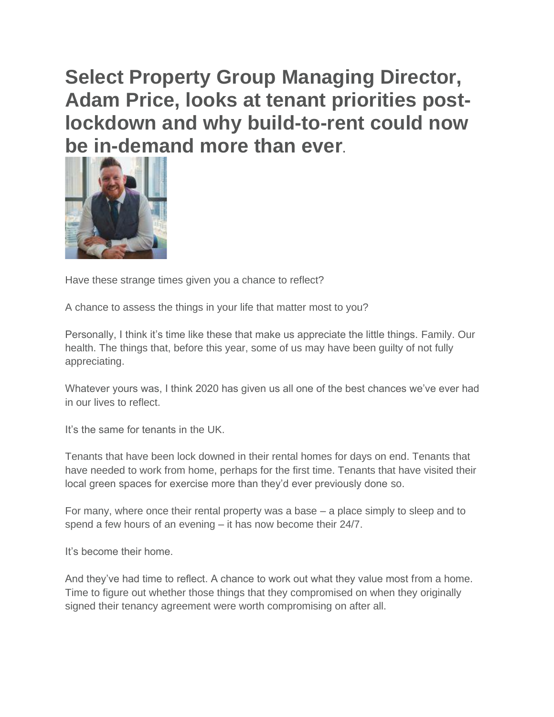**Select Property Group Managing Director, Adam Price, looks at tenant priorities postlockdown and why build-to-rent could now be in-demand more than ever.**



Have these strange times given you a chance to reflect?

A chance to assess the things in your life that matter most to you?

Personally, I think it's time like these that make us appreciate the little things. Family. Our health. The things that, before this year, some of us may have been guilty of not fully appreciating.

Whatever yours was, I think 2020 has given us all one of the best chances we've ever had in our lives to reflect.

It's the same for tenants in the UK.

Tenants that have been lock downed in their rental homes for days on end. Tenants that have needed to work from home, perhaps for the first time. Tenants that have visited their local green spaces for exercise more than they'd ever previously done so.

For many, where once their rental property was a base – a place simply to sleep and to spend a few hours of an evening – it has now become their 24/7.

It's become their home.

And they've had time to reflect. A chance to work out what they value most from a home. Time to figure out whether those things that they compromised on when they originally signed their tenancy agreement were worth compromising on after all.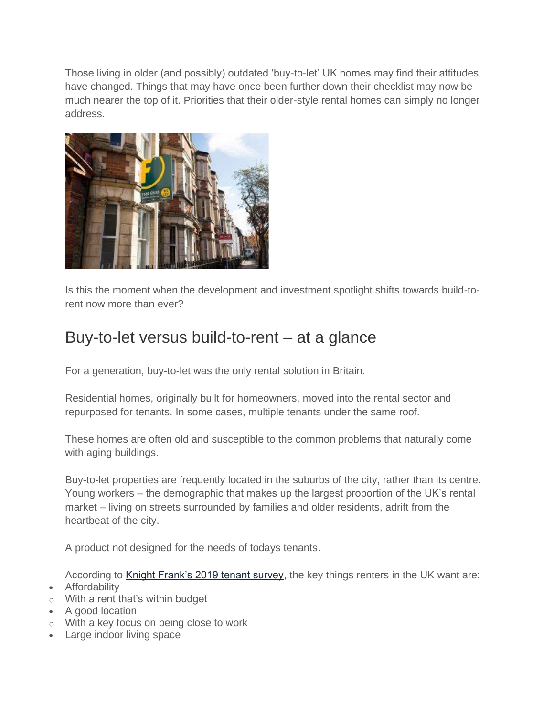Those living in older (and possibly) outdated 'buy-to-let' UK homes may find their attitudes have changed. Things that may have once been further down their checklist may now be much nearer the top of it. Priorities that their older-style rental homes can simply no longer address.



Is this the moment when the development and investment spotlight shifts towards build-torent now more than ever?

## Buy-to-let versus build-to-rent – at a glance

For a generation, buy-to-let was the only rental solution in Britain.

Residential homes, originally built for homeowners, moved into the rental sector and repurposed for tenants. In some cases, multiple tenants under the same roof.

These homes are often old and susceptible to the common problems that naturally come with aging buildings.

Buy-to-let properties are frequently located in the suburbs of the city, rather than its centre. Young workers – the demographic that makes up the largest proportion of the UK's rental market – living on streets surrounded by families and older residents, adrift from the heartbeat of the city.

A product not designed for the needs of todays tenants.

According to [Knight Frank's 2019 tenant survey,](https://www.knightfrank.co.uk/research/the-uk-tenant-survey-2019-6118.aspx) the key things renters in the UK want are:

- Affordability
- $\circ$  With a rent that's within budget
- A good location
- o With a key focus on being close to work
- Large indoor living space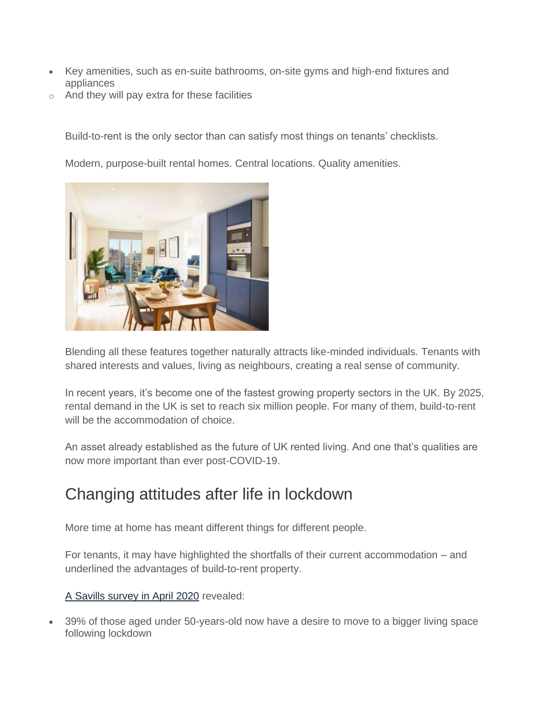- Key amenities, such as en-suite bathrooms, on-site gyms and high-end fixtures and appliances
- o And they will pay extra for these facilities

Build-to-rent is the only sector than can satisfy most things on tenants' checklists.

Modern, purpose-built rental homes. Central locations. Quality amenities.



Blending all these features together naturally attracts like-minded individuals. Tenants with shared interests and values, living as neighbours, creating a real sense of community.

In recent years, it's become one of the fastest growing property sectors in the UK. By 2025, rental demand in the UK is set to reach six million people. For many of them, build-to-rent will be the accommodation of choice.

An asset already established as the future of UK rented living. And one that's qualities are now more important than ever post-COVID-19.

## Changing attitudes after life in lockdown

More time at home has meant different things for different people.

For tenants, it may have highlighted the shortfalls of their current accommodation – and underlined the advantages of build-to-rent property.

## [A Savills survey in April 2020](https://www.savills.co.uk/blog/article/299655/residential-property/savills-residential-market-survey--changing-priorities-in-light-of-the-covid-19-pandemic.aspx) revealed:

• 39% of those aged under 50-years-old now have a desire to move to a bigger living space following lockdown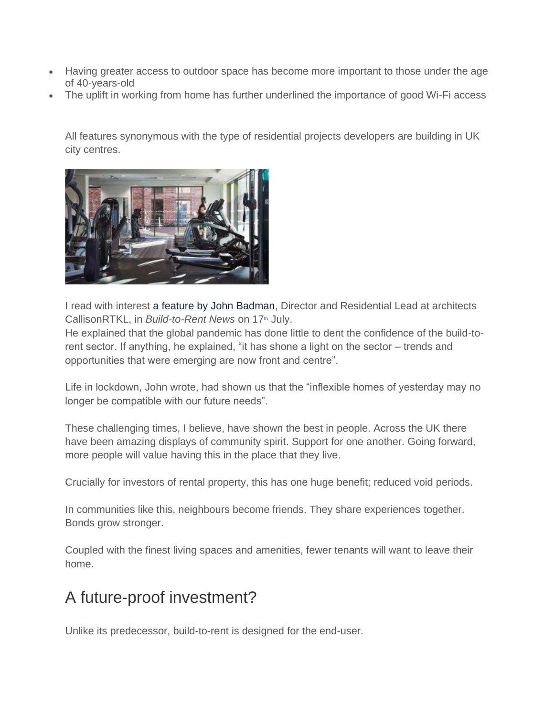- Having greater access to outdoor space has become more important to those under the age of 40-years-old
- The uplift in working from home has further underlined the importance of good Wi-Fi access

All features synonymous with the type of residential projects developers are building in UK city centres.



I read with interest [a feature by John Badman,](https://btrnews.co.uk/2020/07/17/build-to-rent-accelerating-into-2025-and-beyond/) Director and Residential Lead at architects CallisonRTKL, in *Build-to-Rent News* on 17<sup>th</sup> July.

He explained that the global pandemic has done little to dent the confidence of the build-torent sector. If anything, he explained, "it has shone a light on the sector – trends and opportunities that were emerging are now front and centre".

Life in lockdown, John wrote, had shown us that the "inflexible homes of yesterday may no longer be compatible with our future needs".

These challenging times, I believe, have shown the best in people. Across the UK there have been amazing displays of community spirit. Support for one another. Going forward, more people will value having this in the place that they live.

Crucially for investors of rental property, this has one huge benefit; reduced void periods.

In communities like this, neighbours become friends. They share experiences together. Bonds grow stronger.

Coupled with the finest living spaces and amenities, fewer tenants will want to leave their home.

## A future-proof investment?

Unlike its predecessor, build-to-rent is designed for the end-user.